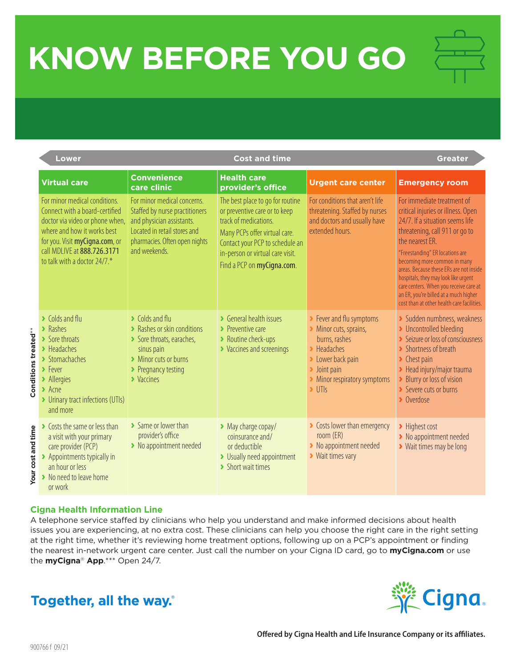## **KNOW BEFORE YOU GO**

|                      | <b>Lower</b>                                                                                                                                                                                                                                                            |                                                                                                                                                                                               | <b>Cost and time</b>                                                                                                                                                                                                             |                                                                                                                                                                                                                        |                                                                                                                                                                                                                                                                                                                                                                                                                                                 |
|----------------------|-------------------------------------------------------------------------------------------------------------------------------------------------------------------------------------------------------------------------------------------------------------------------|-----------------------------------------------------------------------------------------------------------------------------------------------------------------------------------------------|----------------------------------------------------------------------------------------------------------------------------------------------------------------------------------------------------------------------------------|------------------------------------------------------------------------------------------------------------------------------------------------------------------------------------------------------------------------|-------------------------------------------------------------------------------------------------------------------------------------------------------------------------------------------------------------------------------------------------------------------------------------------------------------------------------------------------------------------------------------------------------------------------------------------------|
|                      | <b>Virtual care</b>                                                                                                                                                                                                                                                     | <b>Convenience</b><br>care clinic                                                                                                                                                             | <b>Health care</b><br>provider's office                                                                                                                                                                                          | <b>Urgent care center</b>                                                                                                                                                                                              | <b>Emergency room</b>                                                                                                                                                                                                                                                                                                                                                                                                                           |
|                      | For minor medical conditions.<br>Connect with a board-certified<br>doctor via video or phone when,<br>where and how it works best<br>for you. Visit myCigna.com, or<br>call MDLIVE at 888.726.3171<br>to talk with a doctor 24/7.*                                      | For minor medical concerns.<br>Staffed by nurse practitioners<br>and physician assistants.<br>Located in retail stores and<br>pharmacies. Often open nights<br>and weekends.                  | The best place to go for routine<br>or preventive care or to keep<br>track of medications.<br>Many PCPs offer virtual care.<br>Contact your PCP to schedule an<br>in-person or virtual care visit.<br>Find a PCP on myCigna.com. | For conditions that aren't life<br>threatening. Staffed by nurses<br>and doctors and usually have<br>extended hours.                                                                                                   | For immediate treatment of<br>critical injuries or illness. Open<br>24/7. If a situation seems life<br>threatening, call 911 or go to<br>the nearest ER.<br>"Freestanding" ER locations are<br>becoming more common in many<br>areas. Because these ERs are not inside<br>hospitals, they may look like urgent<br>care centers. When you receive care at<br>an ER, you're billed at a much higher<br>cost than at other health care facilities. |
| Conditions treated** | $\blacktriangleright$ Colds and flu<br>$\blacktriangleright$ Rashes<br>> Sore throats<br>$\blacktriangleright$ Headaches<br>> Stomachaches<br>$\blacktriangleright$ Fever<br>> Allergies<br>$\blacktriangleright$ Acne<br>> Urinary tract infections (UTIs)<br>and more | $\blacktriangleright$ Colds and flu<br>> Rashes or skin conditions<br>Sore throats, earaches,<br>sinus pain<br>> Minor cuts or burns<br>▶ Pregnancy testing<br>$\blacktriangleright$ Vaccines | ▶ General health issues<br>$\blacktriangleright$ Preventive care<br>> Routine check-ups<br>> Vaccines and screenings                                                                                                             | > Fever and flu symptoms<br>Minor cuts, sprains,<br>burns, rashes<br>$\blacktriangleright$ Headaches<br>> Lower back pain<br>$\blacktriangleright$ Joint pain<br>> Minor respiratory symptoms<br>$\triangleright$ UTIs | > Sudden numbness, weakness<br>> Uncontrolled bleeding<br>Seizure or loss of consciousness<br>> Shortness of breath<br>$\blacktriangleright$ Chest pain<br>> Head injury/major trauma<br>> Blurry or loss of vision<br>Severe cuts or burns<br>> Overdose                                                                                                                                                                                       |
| Your cost and time   | Costs the same or less than<br>a visit with your primary<br>care provider (PCP)<br>> Appointments typically in<br>an hour or less<br>> No need to leave home<br>or work                                                                                                 | > Same or lower than<br>provider's office<br>> No appointment needed                                                                                                                          | > May charge copay/<br>coinsurance and/<br>or deductible<br>> Usually need appointment<br>> Short wait times                                                                                                                     | Costs lower than emergency<br>room (ER)<br>> No appointment needed<br>▶ Wait times vary                                                                                                                                | > Highest cost<br>> No appointment needed<br>> Wait times may be long                                                                                                                                                                                                                                                                                                                                                                           |

## **Cigna Health Information Line**

A telephone service staffed by clinicians who help you understand and make informed decisions about health issues you are experiencing, at no extra cost. These clinicians can help you choose the right care in the right setting at the right time, whether it's reviewing home treatment options, following up on a PCP's appointment or finding the nearest in-network urgent care center. Just call the number on your Cigna ID card, go to **myCigna.com** or use the **myCigna**® **App**.\*\*\* Open 24/7.

## Together, all the way.